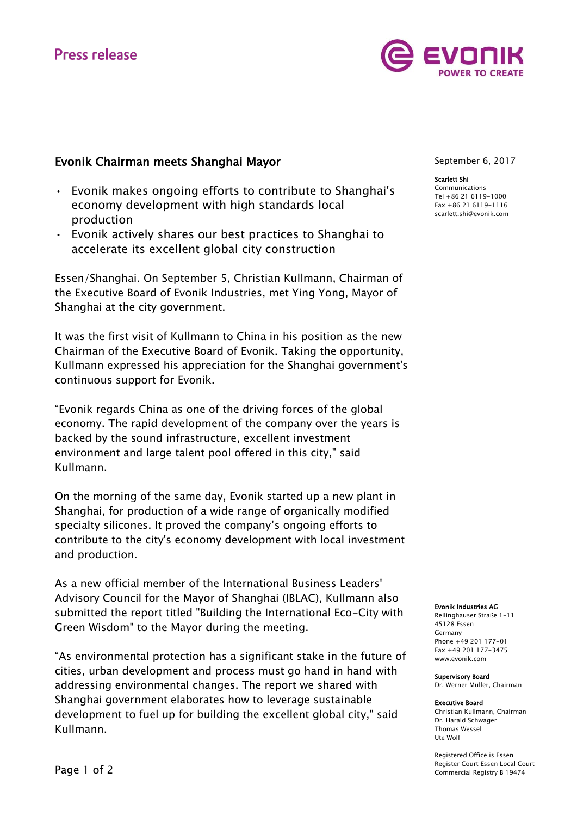# **Press release**



### Evonik Chairman meets Shanghai Mayor

- Evonik makes ongoing efforts to contribute to Shanghai's economy development with high standards local production
- Evonik actively shares our best practices to Shanghai to accelerate its excellent global city construction

Essen/Shanghai. On September 5, Christian Kullmann, Chairman of the Executive Board of Evonik Industries, met Ying Yong, Mayor of Shanghai at the city government.

It was the first visit of Kullmann to China in his position as the new Chairman of the Executive Board of Evonik. Taking the opportunity, Kullmann expressed his appreciation for the Shanghai government's continuous support for Evonik.

"Evonik regards China as one of the driving forces of the global economy. The rapid development of the company over the years is backed by the sound infrastructure, excellent investment environment and large talent pool offered in this city," said Kullmann.

On the morning of the same day, Evonik started up a new plant in Shanghai, for production of a wide range of organically modified specialty silicones. It proved the company's ongoing efforts to contribute to the city's economy development with local investment and production.

As a new official member of the International Business Leaders' Advisory Council for the Mayor of Shanghai (IBLAC), Kullmann also submitted the report titled "Building the International Eco-City with Green Wisdom" to the Mayor during the meeting.

"As environmental protection has a significant stake in the future of cities, urban development and process must go hand in hand with addressing environmental changes. The report we shared with Shanghai government elaborates how to leverage sustainable development to fuel up for building the excellent global city," said Kullmann.

September 6, 2017

#### Scarlett Shi

Communications Tel +86 21 6119-1000 Fax +86 21 6119-1116 [scarlett.shi@evonik.com](mailto:scarlett.shi@evonik.com)

#### Evonik Industries AG

Rellinghauser Straße 1-11 45128 Essen Germany Phone +49 201 177-01 Fax +49 201 177-3475 www.evonik.com

#### Supervisory Board

Dr. Werner Müller, Chairman

#### Executive Board

Christian Kullmann, Chairman Dr. Harald Schwager Thomas Wessel Ute Wolf

Registered Office is Essen Register Court Essen Local Court Commercial Registry B 19474